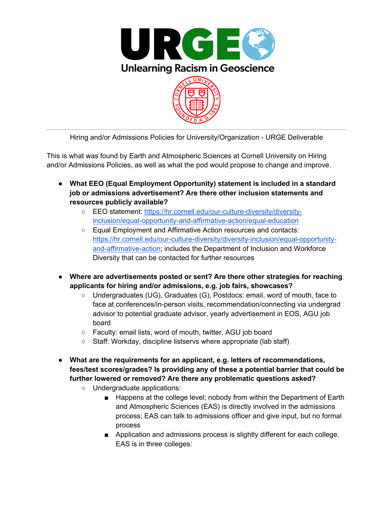

Hiring and/or Admissions Policies for University/Organization - URGE Deliverable

This is what was found by Earth and Atmospheric Sciences at Cornell University on Hiring and/or Admissions Policies, as well as what the pod would propose to change and improve.

- **What EEO (Equal Employment Opportunity) statement is included in a standard job or admissions advertisement? Are there other inclusion statements and resources publicly available?**
	- EEO statement: https://hr.cornell.edu/our-culture-diversity/diversityinclusion/equal-opportunity-and-affirmative-action/equal-education
	- Equal Employment and Affirmative Action resources and contacts: https://hr.cornell.edu/our-culture-diversity/diversity-inclusion/equal-opportunityand-affirmative-action; includes the Department of Inclusion and Workforce Diversity that can be contacted for further resources
- **Where are advertisements posted or sent? Are there other strategies for reaching applicants for hiring and/or admissions, e.g. job fairs, showcases?**
	- Undergraduates (UG), Graduates (G), Postdocs: email, word of mouth, face to face at conferences/in-person visits, recommendation/connecting via undergrad advisor to potential graduate advisor, yearly advertisement in EOS, AGU job board
	- Faculty: email lists, word of mouth, twitter, AGU job board
	- Staff: Workday, discipline listservs where appropriate (lab staff)
- **What are the requirements for an applicant, e.g. letters of recommendations, fees/test scores/grades? Is providing any of these a potential barrier that could be further lowered or removed? Are there any problematic questions asked?**
	- Undergraduate applications:
		- Happens at the college level; nobody from within the Department of Earth and Atmospheric Sciences (EAS) is directly involved in the admissions process; EAS can talk to admissions officer and give input, but no formal process
		- Application and admissions process is slightly different for each college. EAS is in three colleges: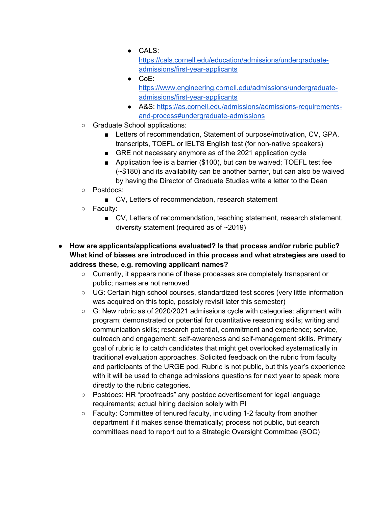● CALS:

https://cals.cornell.edu/education/admissions/undergraduateadmissions/first-year-applicants

- $\bullet$  CoE: https://www.engineering.cornell.edu/admissions/undergraduateadmissions/first-year-applicants
- A&S: https://as.cornell.edu/admissions/admissions-requirementsand-process#undergraduate-admissions
- Graduate School applications:
	- Letters of recommendation, Statement of purpose/motivation, CV, GPA, transcripts, TOEFL or IELTS English test (for non-native speakers)
	- GRE not necessary anymore as of the 2021 application cycle
	- Application fee is a barrier (\$100), but can be waived; TOEFL test fee (~\$180) and its availability can be another barrier, but can also be waived by having the Director of Graduate Studies write a letter to the Dean
- Postdocs:
	- CV, Letters of recommendation, research statement
- Faculty:
	- CV, Letters of recommendation, teaching statement, research statement, diversity statement (required as of ~2019)
- **How are applicants/applications evaluated? Is that process and/or rubric public? What kind of biases are introduced in this process and what strategies are used to address these, e.g. removing applicant names?**
	- Currently, it appears none of these processes are completely transparent or public; names are not removed
	- UG: Certain high school courses, standardized test scores (very little information was acquired on this topic, possibly revisit later this semester)
	- G: New rubric as of 2020/2021 admissions cycle with categories: alignment with program; demonstrated or potential for quantitative reasoning skills; writing and communication skills; research potential, commitment and experience; service, outreach and engagement; self-awareness and self-management skills. Primary goal of rubric is to catch candidates that might get overlooked systematically in traditional evaluation approaches. Solicited feedback on the rubric from faculty and participants of the URGE pod. Rubric is not public, but this year's experience with it will be used to change admissions questions for next year to speak more directly to the rubric categories.
	- Postdocs: HR "proofreads" any postdoc advertisement for legal language requirements; actual hiring decision solely with PI
	- Faculty: Committee of tenured faculty, including 1-2 faculty from another department if it makes sense thematically; process not public, but search committees need to report out to a Strategic Oversight Committee (SOC)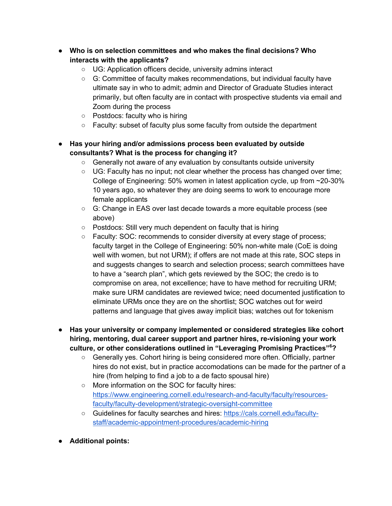- **Who is on selection committees and who makes the final decisions? Who interacts with the applicants?**
	- UG: Application officers decide, university admins interact
	- G: Committee of faculty makes recommendations, but individual faculty have ultimate say in who to admit; admin and Director of Graduate Studies interact primarily, but often faculty are in contact with prospective students via email and Zoom during the process
	- Postdocs: faculty who is hiring
	- Faculty: subset of faculty plus some faculty from outside the department
- **Has your hiring and/or admissions process been evaluated by outside consultants? What is the process for changing it?**
	- Generally not aware of any evaluation by consultants outside university
	- UG: Faculty has no input; not clear whether the process has changed over time; College of Engineering: 50% women in latest application cycle, up from ~20-30% 10 years ago, so whatever they are doing seems to work to encourage more female applicants
	- G: Change in EAS over last decade towards a more equitable process (see above)
	- Postdocs: Still very much dependent on faculty that is hiring
	- Faculty: SOC: recommends to consider diversity at every stage of process; faculty target in the College of Engineering: 50% non-white male (CoE is doing well with women, but not URM); if offers are not made at this rate, SOC steps in and suggests changes to search and selection process; search committees have to have a "search plan", which gets reviewed by the SOC; the credo is to compromise on area, not excellence; have to have method for recruiting URM; make sure URM candidates are reviewed twice; need documented justification to eliminate URMs once they are on the shortlist; SOC watches out for weird patterns and language that gives away implicit bias; watches out for tokenism
- **Has your university or company implemented or considered strategies like cohort hiring, mentoring, dual career support and partner hires, re-visioning your work culture, or other considerations outlined in "Leveraging Promising Practices"<sup>6</sup> ?**
	- Generally yes. Cohort hiring is being considered more often. Officially, partner hires do not exist, but in practice accomodations can be made for the partner of a hire (from helping to find a job to a de facto spousal hire)
	- More information on the SOC for faculty hires: https://www.engineering.cornell.edu/research-and-faculty/faculty/resourcesfaculty/faculty-development/strategic-oversight-committee
	- Guidelines for faculty searches and hires: https://cals.cornell.edu/facultystaff/academic-appointment-procedures/academic-hiring
- **Additional points:**